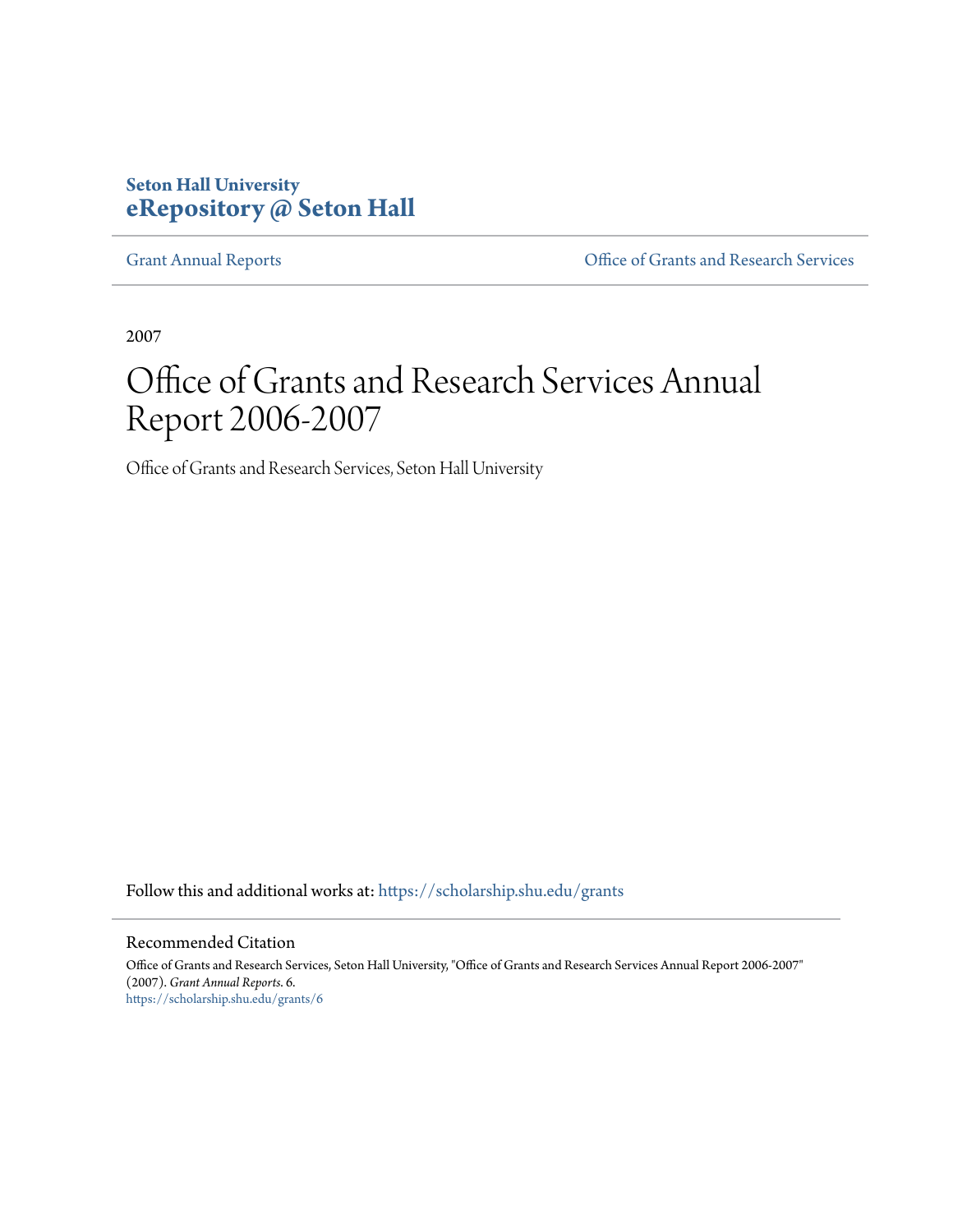## **Seton Hall University [eRepository @ Seton Hall](https://scholarship.shu.edu?utm_source=scholarship.shu.edu%2Fgrants%2F6&utm_medium=PDF&utm_campaign=PDFCoverPages)**

[Grant Annual Reports](https://scholarship.shu.edu/grants?utm_source=scholarship.shu.edu%2Fgrants%2F6&utm_medium=PDF&utm_campaign=PDFCoverPages) [Office of Grants and Research Services](https://scholarship.shu.edu/ogrs?utm_source=scholarship.shu.edu%2Fgrants%2F6&utm_medium=PDF&utm_campaign=PDFCoverPages)

2007

# Office of Grants and Research Services Annual Report 2006-2007

Office of Grants and Research Services, Seton Hall University

Follow this and additional works at: [https://scholarship.shu.edu/grants](https://scholarship.shu.edu/grants?utm_source=scholarship.shu.edu%2Fgrants%2F6&utm_medium=PDF&utm_campaign=PDFCoverPages)

### Recommended Citation

Office of Grants and Research Services, Seton Hall University, "Office of Grants and Research Services Annual Report 2006-2007" (2007). *Grant Annual Reports*. 6. [https://scholarship.shu.edu/grants/6](https://scholarship.shu.edu/grants/6?utm_source=scholarship.shu.edu%2Fgrants%2F6&utm_medium=PDF&utm_campaign=PDFCoverPages)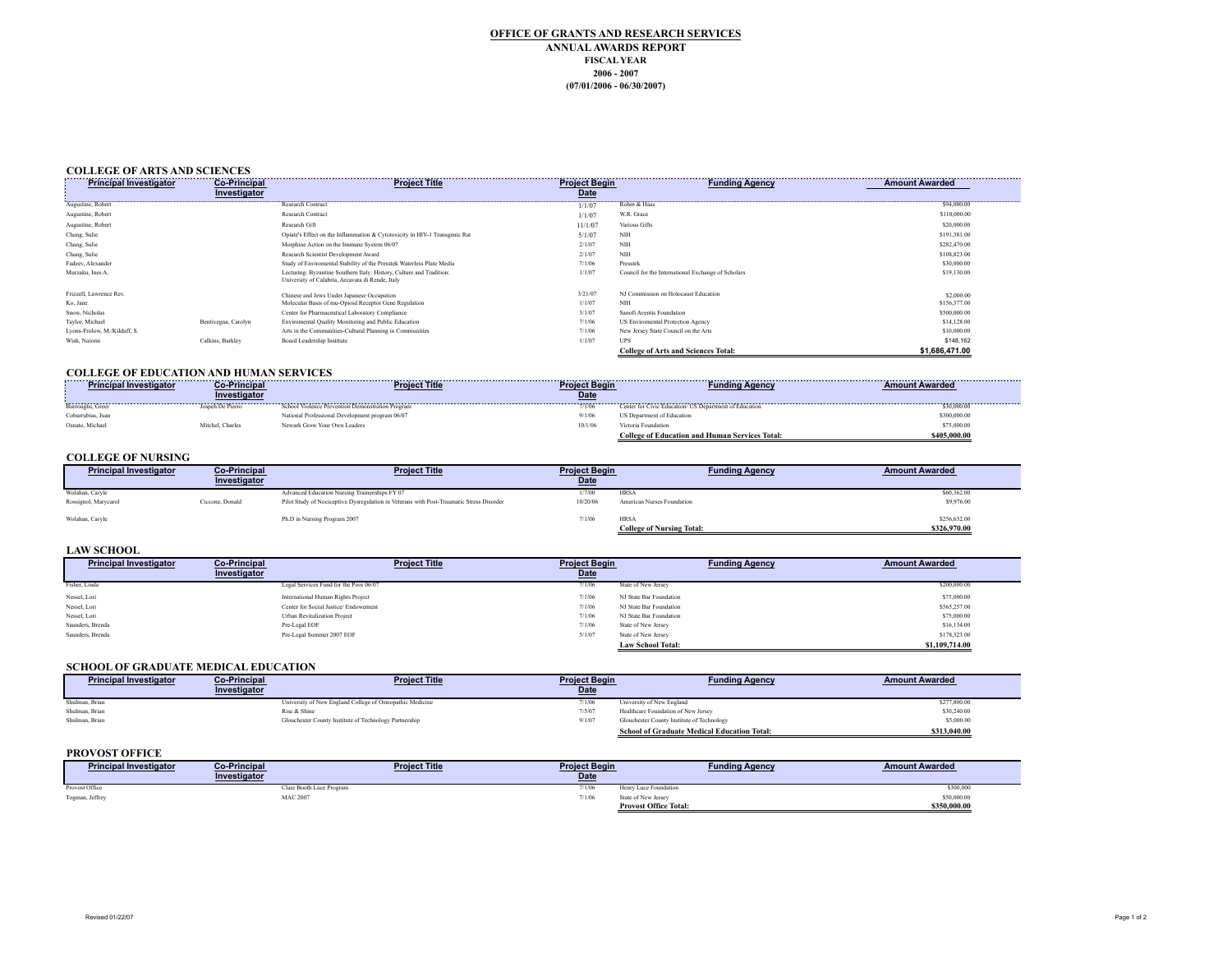#### **OFFICE OF GRANTS AND RESEARCH SERVICES ANNUAL AWARDS REPORT FISCAL YEAR 2006 - 2007 (07/01/2006 - 06/30/2007)**

#### **COLLEGE OF ARTS AND SCIENCES**

| <b>Principal Investigator</b> | <b>Co-Principal</b> | <b>Project Title</b>                                                                                                     | <b>Project Begin</b> | <b>Funding Agency</b>                              | <b>Amount Awarded</b>                                                                                                                                                                                                           |
|-------------------------------|---------------------|--------------------------------------------------------------------------------------------------------------------------|----------------------|----------------------------------------------------|---------------------------------------------------------------------------------------------------------------------------------------------------------------------------------------------------------------------------------|
|                               | Investigator        |                                                                                                                          | <b>Date</b>          |                                                    |                                                                                                                                                                                                                                 |
| Augustine, Robert             |                     | Research Contract                                                                                                        |                      | Rohm & Haas                                        | 594,000.00 594,000.00 594,000.00 594,000.00 594,000.00 594,000.00 594,000.00 594,000.00 594,000.00 595,000 597,000 597,000 597,000 597,000 597,000 597,000 597,000 597,000 597,000 597,000 597,000 597,000 597,000 597,000 597, |
| Augustine, Robert             |                     | <b>Research Contract</b>                                                                                                 | 1/1/07               | W.R. Grace                                         | \$110,000.00                                                                                                                                                                                                                    |
| Augustine, Robert             |                     | Research Gift                                                                                                            | 11/1/07              | Various Gifts                                      | \$20,000.00                                                                                                                                                                                                                     |
| Chang, Sulie                  |                     | Opiate's Effect on the Inflammation & Cytotoxicity in HIV-1 Transgenic Rat                                               | 5/1/07               | NIH                                                | \$191,381.00                                                                                                                                                                                                                    |
| Chang, Sulie                  |                     | Morphine Action on the Immune System 06/07                                                                               | 2/1/07               | NIH                                                | \$282,470.00                                                                                                                                                                                                                    |
| Chang, Sulie                  |                     | Research Scientist Development Award                                                                                     | 2/1/07               | <b>NIH</b>                                         | \$108,823.00                                                                                                                                                                                                                    |
| Fadeev, Alexander             |                     | Study of Enviromental Stability of the Presstek Waterless Plate Media                                                    | 7/1/06               | Presstek                                           | \$30,000.00                                                                                                                                                                                                                     |
| Murzaku, Ines A.              |                     | Lecturing: Byzantine Southern Italy: History, Culture and Tradition:<br>University of Calabria, Arcavata di Rende, Italy | 1/1/07               | Council for the International Exchange of Scholars | \$19,130.00                                                                                                                                                                                                                     |
| Frizzell, Lawrence Rev.       |                     | Chinese and Jews Under Japanese Occupation                                                                               | 3/21/07              | NJ Commission on Holocaust Education               | \$2,000.00                                                                                                                                                                                                                      |
| Ko, Jane                      |                     | Molecular Basis of mu-Opioid Receptor Gene Regulation                                                                    | 1/1/07               | NIH                                                | \$156,377.00                                                                                                                                                                                                                    |
| Snow, Nicholas                |                     | Center for Pharmaceutical Laboratory Compliance                                                                          | 3/1/07               | Sanofi Aventis Foundation                          | \$500,000.00                                                                                                                                                                                                                    |
| Taylor, Michael               | Bentivegna, Carolyn | Enviromental Quality Monitoring and Public Education                                                                     | 7/1/06               | US Enviromental Protection Agency                  | \$14,128.00                                                                                                                                                                                                                     |
| Lyons-Frolow, M./Kilduff, S.  |                     | Arts in the Communities-Cultural Planning in Communities                                                                 | 7/1/06               | New Jersey State Council on the Arts               | \$10,000.00                                                                                                                                                                                                                     |
| Wish, Naiomi                  | Calkins, Barkley    | Board Leadership Institute                                                                                               | 1/1/07               | <b>UPS</b>                                         | \$148.162                                                                                                                                                                                                                       |
|                               |                     |                                                                                                                          |                      | <b>College of Arts and Sciences Total:</b>         | \$1.686.471.00                                                                                                                                                                                                                  |

#### **COLLEGE OF EDUCATION AND HUMAN SERVICES**

| <b>***************</b><br><b>Principal Investigator</b> | <b>Co-Principal</b> | <b>Project Title</b>                             | <b>Project Beain</b> | Fundina Aaencv                                         | Amount Awarded |
|---------------------------------------------------------|---------------------|--------------------------------------------------|----------------------|--------------------------------------------------------|----------------|
|                                                         | Investigator        |                                                  | Date                 |                                                        |                |
| <b>Burroughs Greet</b>                                  | Jospeh De Pierro    | School Violence Prevention Demonstration Program |                      | Center for Civic Education/ US Department of Education | \$30,000.00    |
| Cobarrubias. Juan                                       |                     | National Professional Development program 06/07  |                      | US Department of Education                             | \$300,000.00   |
| Osnato. Michael                                         | Mitchel. Charles    | Newark Grow Your Own Leaders                     | 10/1/0               | Victoria Foundation                                    | \$75,000.00    |
|                                                         |                     |                                                  |                      | <b>College of Education and Human Services Total:</b>  | \$405,000.00   |

#### **COLLEGE OF NURSING**

| <b>Principal Investigator</b> | <b>Co-Principal</b><br>Investigator | <b>Project Title</b>                                                                     | <b>Project Begin</b><br><b>Date</b> | <b>Funding Agency</b>                           | <b>Amount Awarded</b>        |
|-------------------------------|-------------------------------------|------------------------------------------------------------------------------------------|-------------------------------------|-------------------------------------------------|------------------------------|
| Wolahan, Caryle               |                                     | Advanced Education Nursing Traineeships FY 07                                            | 1/7/00                              | <b>HRSA</b>                                     | \$60,362.00                  |
| Rossignol, Marycarol          | Ciccone, Donald                     | Pilot Study of Nociceptive Dysregulation in Veterans with Post-Traumatic Stress Disorder | 10/20/06                            | American Nurses Foundation                      | \$9,976.00                   |
| Wolahan, Caryle               |                                     | Ph.D in Nursing Program 2007                                                             | 7/1/06                              | <b>HRSA</b><br><b>College of Nursing Total:</b> | \$256,632.00<br>\$326,970.00 |

#### **LAW SCHOOL**

| <b>Principal Investigator</b> | <b>Co-Principal</b> | <b>Project Title</b>                   | <b>Project Begin</b> | <b>Funding Agency</b>    | <b>Amount Awarded</b> |
|-------------------------------|---------------------|----------------------------------------|----------------------|--------------------------|-----------------------|
|                               | Investigator        |                                        | <b>Date</b>          |                          |                       |
| Fisher, Linda                 |                     | Legal Services Fund for the Poor 06/07 | 7/1/06               | State of New Jersey      | \$200,000.00          |
| Nessel, Lori                  |                     | International Human Rights Project     | 7/1/06               | NJ State Bar Foundation  | \$75,000.00           |
| Nessel, Lori                  |                     | Center for Social Justice/Endowement   | 7/1/06               | NJ State Bar Foundation  | \$565,257.00          |
| Nessel, Lori                  |                     | Urban Revitalization Project           | 7/1/06               | NJ State Bar Foundation  | \$75,000.00           |
| Saunders, Brenda              |                     | Pre-Legal EOF                          | 7/1/06               | State of New Jersey      | \$16,134.00           |
| Saunders. Brenda              |                     | Pre-Legal Summer 2007 EOF              | 5/1/07               | State of New Jersey      | \$178,323.00          |
|                               |                     |                                        |                      | <b>Law School Total:</b> | \$1,109,714.00        |

#### **SCHOOL OF GRADUATE MEDICAL EDUCATION**

| <b>Principal Investigator</b> | <b>Co-Principal</b> | <b>Project Title</b>                                      | <b>Project Begin</b> | <b>Funding Agency</b>                              | <b>Amount Awarded</b> |
|-------------------------------|---------------------|-----------------------------------------------------------|----------------------|----------------------------------------------------|-----------------------|
|                               | Investigator        |                                                           | Date                 |                                                    |                       |
| Shulman, Brian                |                     | University of New England College of Osteopathic Medicine | 7/1/06               | University of New England                          | \$277,800.00          |
| Shulman, Brian                |                     | Rise & Shine                                              | 7/5/07               | Healthcare Foundation of New Jersey                | \$30,240.00           |
| Shulman, Brian                |                     | Glouchester County Institute of Technology Partnership    | 9/1/07               | Glouchester County Institute of Technology         | \$5,000.00            |
|                               |                     |                                                           |                      | <b>School of Graduate Medical Education Total:</b> | \$313,040.00          |

#### **PROVOST OFFICE**

| <b>Principal Investigator</b> | <b>Co-Principal</b>      | <b>Project Title</b> | <b>Project Begin</b> | <b>Funding Agency</b>        | <b>Amount Awarded</b> |
|-------------------------------|--------------------------|----------------------|----------------------|------------------------------|-----------------------|
|                               | Investigator             |                      | Date                 |                              |                       |
| Provost Office                | Clare Booth Luce Program |                      |                      | Henry Luce Foundation        | \$300,000             |
| Togman, Jeffrey               | <b>MAC 2007</b>          |                      | 7/1/06               | State of New Jersey          | \$50,000.00           |
|                               |                          |                      |                      | <b>Provost Office Total:</b> | \$350,000.00          |